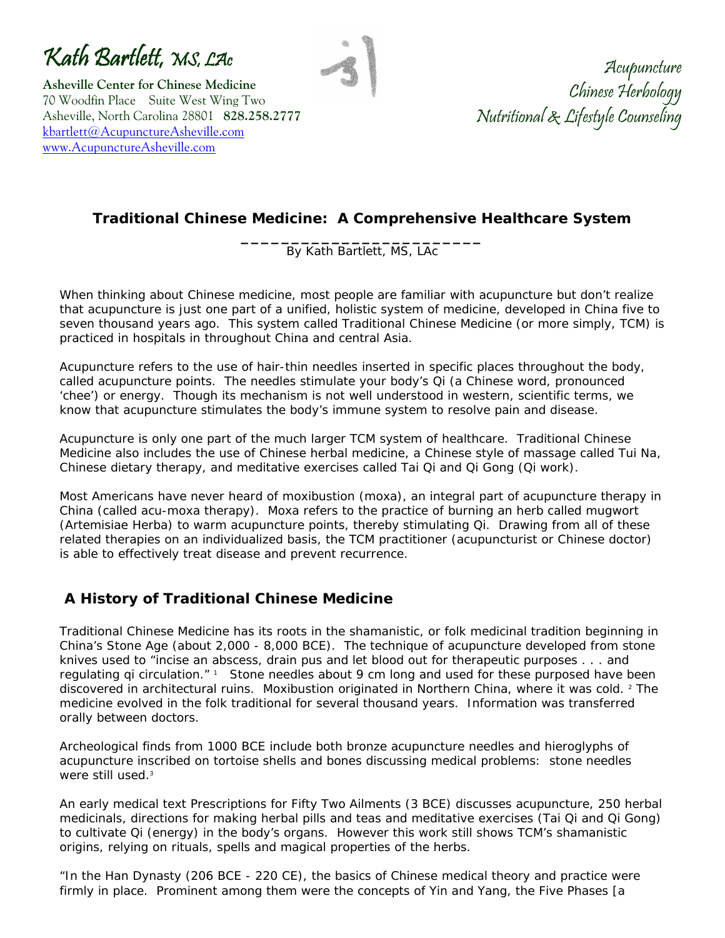Kath Bartlett, MS, LAc

**Asheville Center for Chinese Medicine**  70 Woodfin Place Suite West Wing Two Asheville, North Carolina 28801 **828.258.2777** [kbartlett@AcupunctureAsheville.com](mailto:kbartlett@AcupunctureAsheville.com) [www.AcupunctureAsheville.com](http://www.acupunctureasheville.com/) 

Acupuncture Chinese Herbology Nutritional & Lifestyle Counseling

## **Traditional Chinese Medicine: A Comprehensive Healthcare System**

**\_\_\_\_\_\_\_\_\_\_\_\_\_\_\_\_\_\_\_\_\_\_\_\_**  By Kath Bartlett, MS, LAc

When thinking about Chinese medicine, most people are familiar with acupuncture but don't realize that acupuncture is just one part of a unified, holistic system of medicine, developed in China five to seven thousand years ago. This system called Traditional Chinese Medicine (or more simply, TCM) is practiced in hospitals in throughout China and central Asia.

Acupuncture refers to the use of hair-thin needles inserted in specific places throughout the body, called acupuncture points. The needles stimulate your body's Qi (a Chinese word, pronounced 'chee') or energy. Though its mechanism is not well understood in western, scientific terms, we know that acupuncture stimulates the body's immune system to resolve pain and disease.

Acupuncture is only one part of the much larger TCM system of healthcare. Traditional Chinese Medicine also includes the use of Chinese herbal medicine, a Chinese style of massage called Tui Na, Chinese dietary therapy, and meditative exercises called Tai Qi and Qi Gong (Qi work).

Most Americans have never heard of moxibustion (moxa), an integral part of acupuncture therapy in China (called acu-moxa therapy). Moxa refers to the practice of burning an herb called mugwort (Artemisiae Herba) to warm acupuncture points, thereby stimulating Qi. Drawing from all of these related therapies on an individualized basis, the TCM practitioner (acupuncturist or Chinese doctor) is able to effectively treat disease and prevent recurrence.

## **A History of Traditional Chinese Medicine**

Traditional Chinese Medicine has its roots in the shamanistic, or folk medicinal tradition beginning in China's Stone Age (about 2,000 - 8,000 BCE). The technique of acupuncture developed from stone knives used to "incise an abscess, drain pus and let blood out for therapeutic purposes . . . and regulating qi circulation." 1 Stone needles about 9 cm long and used for these purposed have been discovered in architectural ruins. Moxibustion originated in Northern China, where it was cold. <sup>2</sup> The medicine evolved in the folk traditional for several thousand years. Information was transferred orally between doctors.

Archeological finds from 1000 BCE include both bronze acupuncture needles and hieroglyphs of acupuncture inscribed on tortoise shells and bones discussing medical problems: stone needles were still used.<sup>3</sup>

An early medical text *Prescriptions for Fifty Two Ailments* (3 BCE) discusses acupuncture, 250 herbal medicinals, directions for making herbal pills and teas and meditative exercises (Tai Qi and Qi Gong) to cultivate Qi (energy) in the body's organs. However this work still shows TCM's shamanistic origins, relying on rituals, spells and magical properties of the herbs.

"In the Han Dynasty (206 BCE - 220 CE), the basics of Chinese medical theory and practice were firmly in place. Prominent among them were the concepts of Yin and Yang, the Five Phases [a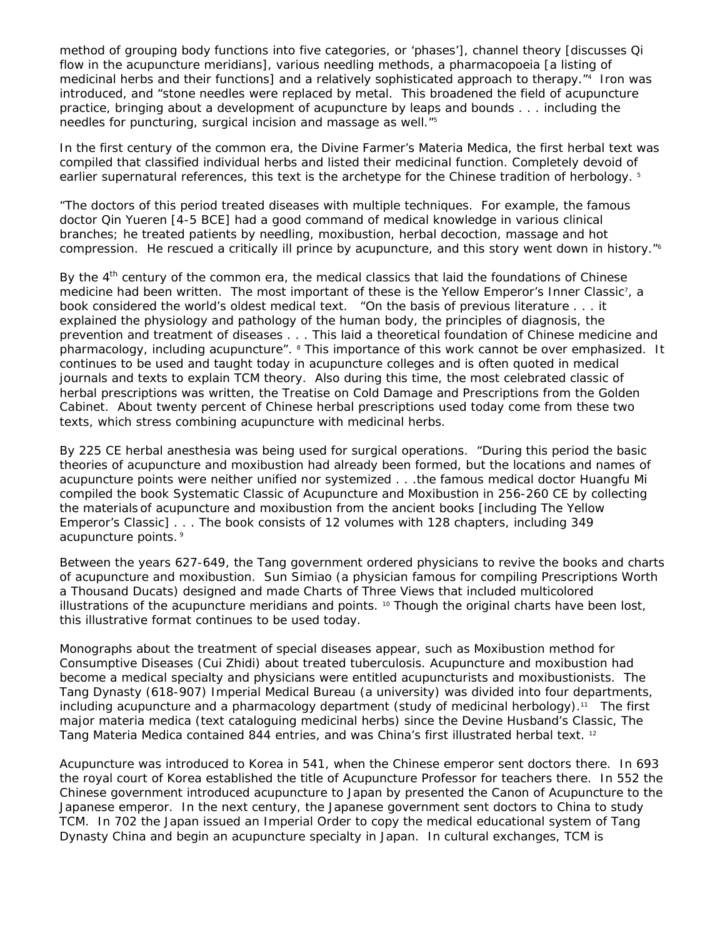method of grouping body functions into five categories, or 'phases'], channel theory [discusses Qi flow in the acupuncture meridians], various needling methods, a pharmacopoeia [a listing of medicinal herbs and their functions] and a relatively sophisticated approach to therapy.<sup>"4</sup> Iron was introduced, and "stone needles were replaced by metal. This broadened the field of acupuncture practice, bringing about a development of acupuncture by leaps and bounds . . . including the needles for puncturing, surgical incision and massage as well."5

In the first century of the common era, the *Divine Farmer's Materia Medica,* the first herbal text was compiled that classified individual herbs and listed their medicinal function. Completely devoid of earlier supernatural references, this text is the archetype for the Chinese tradition of herbology. 5

"The doctors of this period treated diseases with multiple techniques. For example, the famous doctor Qin Yueren [4-5 BCE] had a good command of medical knowledge in various clinical branches; he treated patients by needling, moxibustion, herbal decoction, massage and hot compression. He rescued a critically ill prince by acupuncture, and this story went down in history."<sup>6</sup>

By the 4<sup>th</sup> century of the common era, the medical classics that laid the foundations of Chinese medicine had been written. The most important of these is the *Yellow Emperor's Inner Classic*<sup>7</sup>, a book considered the world's oldest medical text. "On the basis of previous literature . . . it explained the physiology and pathology of the human body, the principles of diagnosis, the prevention and treatment of diseases . . . This laid a theoretical foundation of Chinese medicine and pharmacology, including acupuncture". <sup>8</sup> This importance of this work cannot be over emphasized. It continues to be used and taught today in acupuncture colleges and is often quoted in medical journals and texts to explain TCM theory. Also during this time, the most celebrated classic of herbal prescriptions was written, the *Treatise on Cold Damage* and *Prescriptions from the Golden Cabinet*. About twenty percent of Chinese herbal prescriptions used today come from these two texts, which stress combining acupuncture with medicinal herbs.

By 225 CE herbal anesthesia was being used for surgical operations. "During this period the basic theories of acupuncture and moxibustion had already been formed, but the locations and names of acupuncture points were neither unified nor systemized . . .the famous medical doctor Huangfu Mi compiled the book S*ystematic Classic of Acupuncture and Moxibustion* in 256-260 CE by collecting the materials of acupuncture and moxibustion from the ancient books [including *The Yellow Emperor's Classic]* . . . The book consists of 12 volumes with 128 chapters, including 349 acupuncture points. 9

Between the years 627-649, the Tang government ordered physicians to revive the books and charts of acupuncture and moxibustion. Sun Simiao (a physician famous for compiling *Prescriptions Worth a Thousand Ducats)* designed and made *Charts of Three Views* that included multicolored illustrations of the acupuncture meridians and points.<sup>10</sup> Though the original charts have been lost, this illustrative format continues to be used today.

Monographs about the treatment of special diseases appear, such as *Moxibustion method for Consumptive Diseases* (Cui Zhidi) about treated tuberculosis. Acupuncture and moxibustion had become a medical specialty and physicians were entitled acupuncturists and moxibustionists. The Tang Dynasty (618-907) Imperial Medical Bureau (a university) was divided into four departments, including acupuncture and a pharmacology department (study of medicinal herbology).<sup>11</sup> The first major materia medica (text cataloguing medicinal herbs) since the *Devine Husband's Classic, The Tang Materia Medica* contained 844 entries, and was China's first illustrated herbal text. 12

Acupuncture was introduced to Korea in 541, when the Chinese emperor sent doctors there. In 693 the royal court of Korea established the title of Acupuncture Professor for teachers there. In 552 the Chinese government introduced acupuncture to Japan by presented the *Canon of Acupuncture* to the Japanese emperor. In the next century, the Japanese government sent doctors to China to study TCM. In 702 the Japan issued an Imperial Order to copy the medical educational system of Tang Dynasty China and begin an acupuncture specialty in Japan. In cultural exchanges, TCM is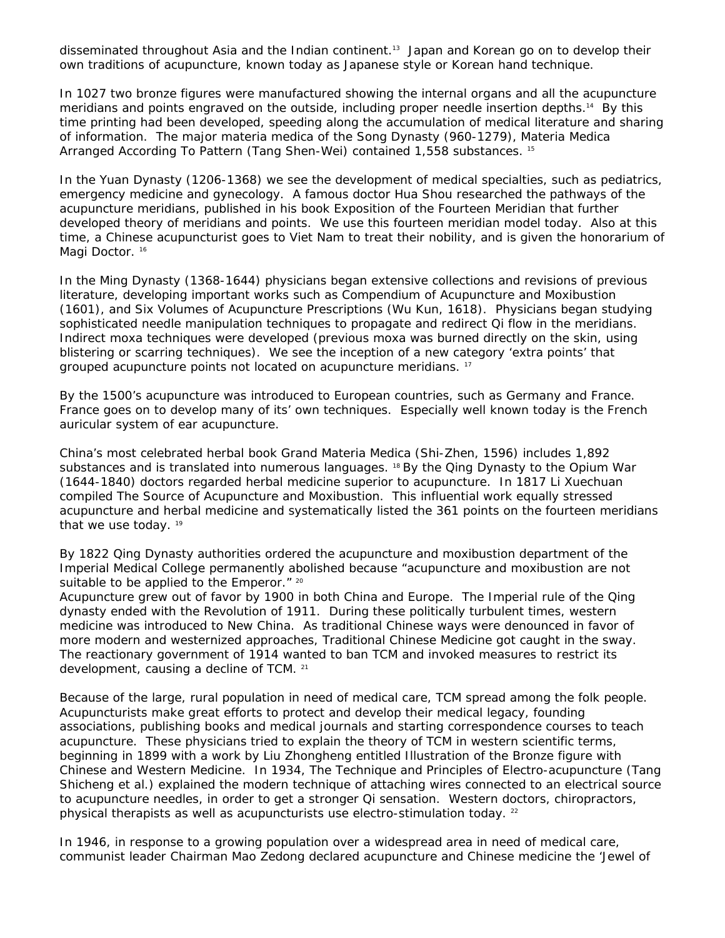disseminated throughout Asia and the Indian continent.13 Japan and Korean go on to develop their own traditions of acupuncture, known today as Japanese style or Korean hand technique.

In 1027 two bronze figures were manufactured showing the internal organs and all the acupuncture meridians and points engraved on the outside, including proper needle insertion depths.14 By this time printing had been developed, speeding along the accumulation of medical literature and sharing of information. The major materia medica of the Song Dynasty (960-1279), *Materia Medica Arranged According To Pattern* (Tang Shen-Wei) contained 1,558 substances. 15

In the Yuan Dynasty (1206-1368) we see the development of medical specialties, such as pediatrics, emergency medicine and gynecology. A famous doctor Hua Shou researched the pathways of the acupuncture meridians, published in his book *Exposition of the Fourteen Meridian* that further developed theory of meridians and points. We use this fourteen meridian model today. Also at this time, a Chinese acupuncturist goes to Viet Nam to treat their nobility, and is given the honorarium of Magi Doctor.<sup>16</sup>

In the Ming Dynasty (1368-1644) physicians began extensive collections and revisions of previous literature, developing important works such as *Compendium of Acupuncture and Moxibustion* (1601), and *Six Volumes of Acupuncture Prescriptions* (Wu Kun, 1618). Physicians began studying sophisticated needle manipulation techniques to propagate and redirect Qi flow in the meridians. Indirect moxa techniques were developed (previous moxa was burned directly on the skin, using blistering or scarring techniques). We see the inception of a new category 'extra points' that grouped acupuncture points not located on acupuncture meridians. 17

By the 1500's acupuncture was introduced to European countries, such as Germany and France. France goes on to develop many of its' own techniques. Especially well known today is the French auricular system of ear acupuncture.

China's most celebrated herbal book *Grand Materia Medica* (Shi-Zhen, 1596) includes 1,892 substances and is translated into numerous languages. <sup>18</sup> By the Qing Dynasty to the Opium War (1644-1840) doctors regarded herbal medicine superior to acupuncture. In 1817 Li Xuechuan compiled *The Source of Acupuncture and Moxibustion.* This influential work equally stressed acupuncture and herbal medicine and systematically listed the 361 points on the fourteen meridians that we use today.<sup>19</sup>

By 1822 Qing Dynasty authorities ordered the acupuncture and moxibustion department of the Imperial Medical College permanently abolished because "acupuncture and moxibustion are not suitable to be applied to the Emperor." 20

Acupuncture grew out of favor by 1900 in both China and Europe. The Imperial rule of the Qing dynasty ended with the Revolution of 1911. During these politically turbulent times, western medicine was introduced to New China. As traditional Chinese ways were denounced in favor of more modern and westernized approaches, Traditional Chinese Medicine got caught in the sway. The reactionary government of 1914 wanted to ban TCM and invoked measures to restrict its development, causing a decline of TCM. 21

Because of the large, rural population in need of medical care, TCM spread among the folk people. Acupuncturists make great efforts to protect and develop their medical legacy, founding associations, publishing books and medical journals and starting correspondence courses to teach acupuncture. These physicians tried to explain the theory of TCM in western scientific terms, beginning in 1899 with a work by Liu Zhongheng entitled *Illustration of the Bronze figure with Chinese and Western Medicine.* In 1934, *The Technique and Principles of Electro-acupuncture* (Tang Shicheng et al.) explained the modern technique of attaching wires connected to an electrical source to acupuncture needles, in order to get a stronger Qi sensation. Western doctors, chiropractors, physical therapists as well as acupuncturists use electro-stimulation today. <sup>22</sup>

In 1946, in response to a growing population over a widespread area in need of medical care, communist leader Chairman Mao Zedong declared acupuncture and Chinese medicine the 'Jewel of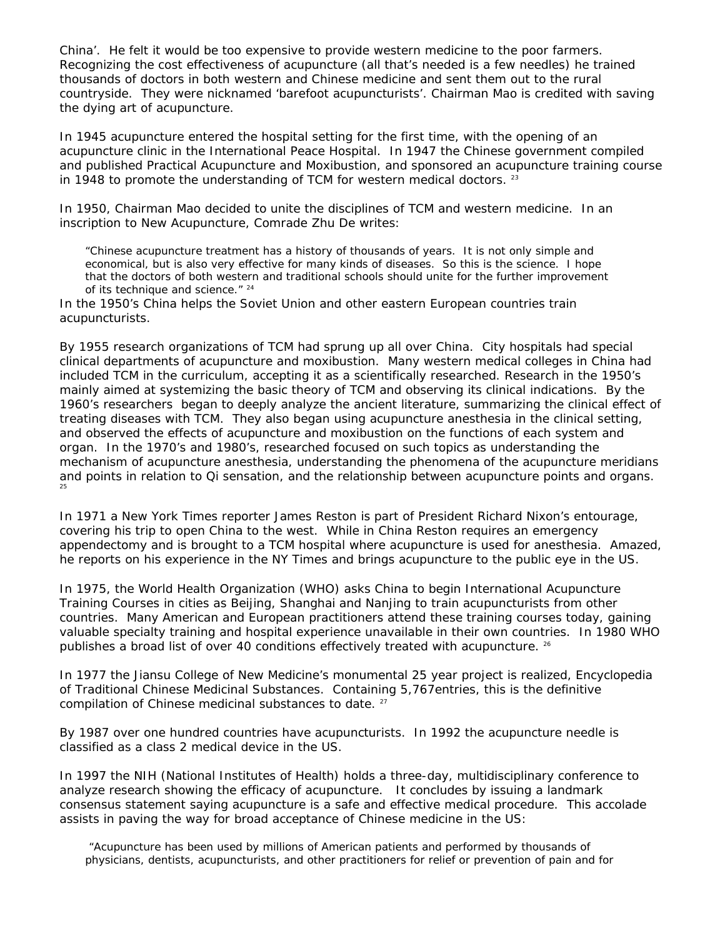China'. He felt it would be too expensive to provide western medicine to the poor farmers. Recognizing the cost effectiveness of acupuncture (all that's needed is a few needles) he trained thousands of doctors in both western and Chinese medicine and sent them out to the rural countryside. They were nicknamed 'barefoot acupuncturists'. Chairman Mao is credited with saving the dying art of acupuncture.

In 1945 acupuncture entered the hospital setting for the first time, with the opening of an acupuncture clinic in the International Peace Hospital. In 1947 the Chinese government compiled and published *Practical Acupuncture and Moxibustion,* and sponsored an acupuncture training course in 1948 to promote the understanding of TCM for western medical doctors.  $23$ 

In 1950, Chairman Mao decided to unite the disciplines of TCM and western medicine. In an inscription to *New Acupuncture,* Comrade Zhu De writes:

"Chinese acupuncture treatment has a history of thousands of years. It is not only simple and economical, but is also very effective for many kinds of diseases. So this is the science. I hope that the doctors of both western and traditional schools should unite for the further improvement of its technique and science." 24

In the 1950's China helps the Soviet Union and other eastern European countries train acupuncturists.

By 1955 research organizations of TCM had sprung up all over China. City hospitals had special clinical departments of acupuncture and moxibustion. Many western medical colleges in China had included TCM in the curriculum, accepting it as a scientifically researched. Research in the 1950's mainly aimed at systemizing the basic theory of TCM and observing its clinical indications. By the 1960's researchers began to deeply analyze the ancient literature, summarizing the clinical effect of treating diseases with TCM. They also began using acupuncture anesthesia in the clinical setting, and observed the effects of acupuncture and moxibustion on the functions of each system and organ. In the 1970's and 1980's, researched focused on such topics as understanding the mechanism of acupuncture anesthesia, understanding the phenomena of the acupuncture meridians and points in relation to Qi sensation, and the relationship between acupuncture points and organs. 25

In 1971 a New York Times reporter James Reston is part of President Richard Nixon's entourage, covering his trip to open China to the west. While in China Reston requires an emergency appendectomy and is brought to a TCM hospital where acupuncture is used for anesthesia. Amazed, he reports on his experience in the NY Times and brings acupuncture to the public eye in the US.

In 1975, the World Health Organization (WHO) asks China to begin International Acupuncture Training Courses in cities as Beijing, Shanghai and Nanjing to train acupuncturists from other countries. Many American and European practitioners attend these training courses today, gaining valuable specialty training and hospital experience unavailable in their own countries. In 1980 WHO publishes a broad list of over 40 conditions effectively treated with acupuncture. <sup>26</sup>

In 1977 the Jiansu College of New Medicine's monumental 25 year project is realized, *Encyclopedia of Traditional Chinese Medicinal Substances*. Containing 5,767entries, this is the definitive compilation of Chinese medicinal substances to date. <sup>27</sup>

By 1987 over one hundred countries have acupuncturists. In 1992 the acupuncture needle is classified as a class 2 medical device in the US.

In 1997 the NIH (National Institutes of Health) holds a three-day, multidisciplinary conference to analyze research showing the efficacy of acupuncture. It concludes by issuing a landmark consensus statement saying acupuncture is a safe and effective medical procedure. This accolade assists in paving the way for broad acceptance of Chinese medicine in the US:

 "Acupuncture has been used by millions of American patients and performed by thousands of physicians, dentists, acupuncturists, and other practitioners for relief or prevention of pain and for